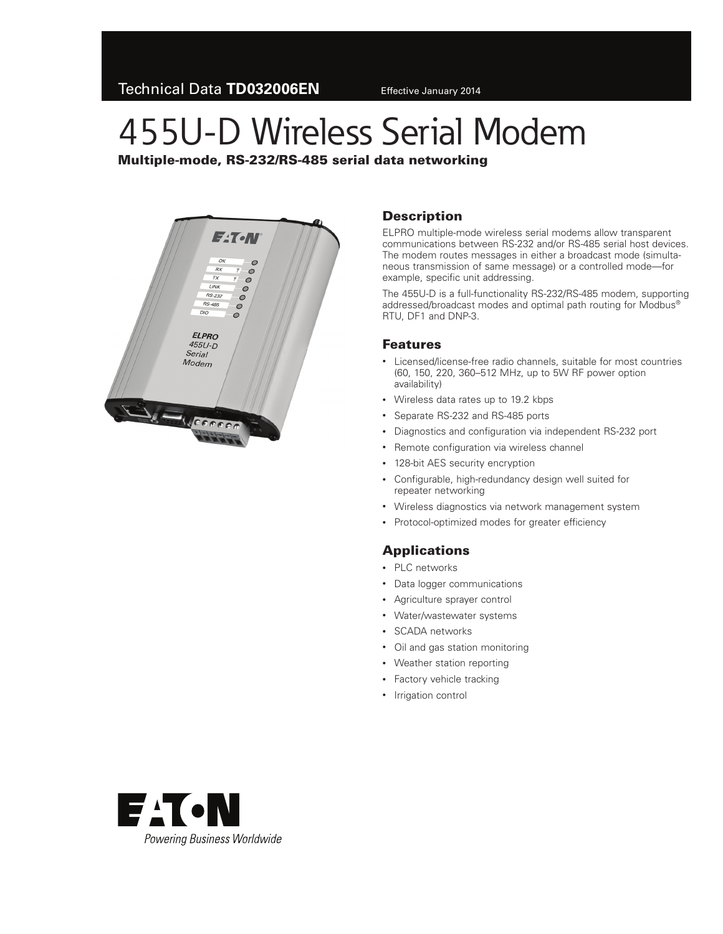# 455U-D Wireless Serial Modem

Multiple-mode, RS-232/RS-485 serial data networking



### **Description**

ELPRO multiple-mode wireless serial modems allow transparent communications between RS-232 and/or RS-485 serial host devices. The modem routes messages in either a broadcast mode (simultaneous transmission of same message) or a controlled mode—for example, specific unit addressing.

The 455U-D is a full-functionality RS-232/RS-485 modem, supporting addressed/broadcast modes and optimal path routing for Modbus® RTU, DF1 and DNP-3.

#### Features

- Licensed/license-free radio channels, suitable for most countries (60, 150, 220, 360–512 MHz, up to 5W RF power option availability)
- • Wireless data rates up to 19.2 kbps
- • Separate RS-232 and RS-485 ports
- Diagnostics and configuration via independent RS-232 port
- Remote configuration via wireless channel
- 128-bit AES security encryption
- • Configurable, high-redundancy design well suited for repeater networking
- • Wireless diagnostics via network management system
- Protocol-optimized modes for greater efficiency

# Applications

- PLC networks
- • Data logger communications
- • Agriculture sprayer control
- • Water/wastewater systems
- • SCADA networks
- • Oil and gas station monitoring
- • Weather station reporting
- Factory vehicle tracking
- Irrigation control

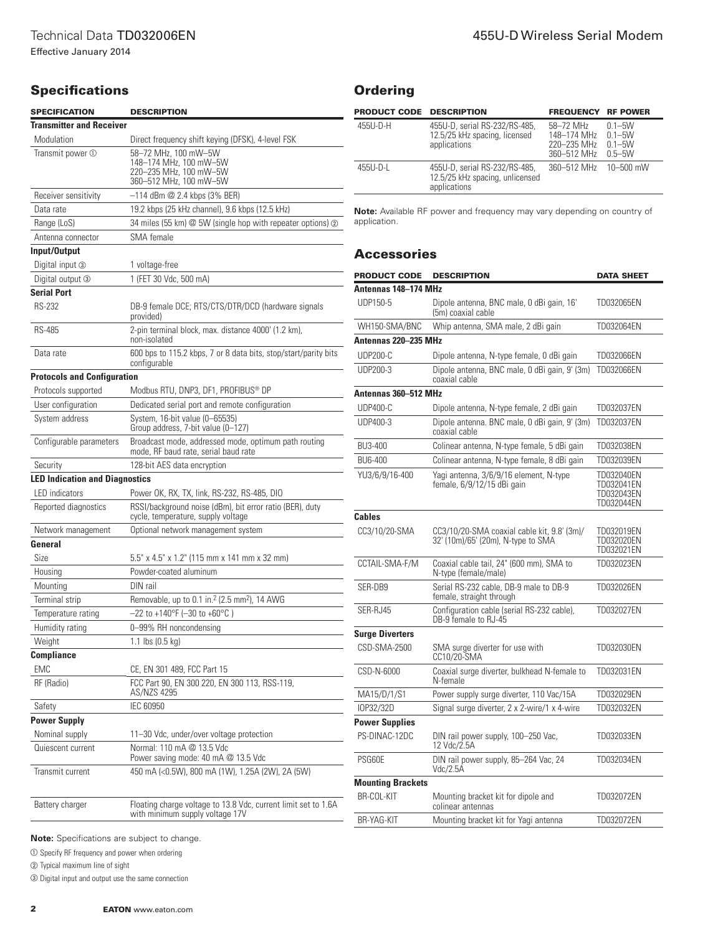## **Specifications**

| <b>SPECIFICATION</b>                  | <b>DESCRIPTION</b>                                                                                 |  |  |
|---------------------------------------|----------------------------------------------------------------------------------------------------|--|--|
| <b>Transmitter and Receiver</b>       |                                                                                                    |  |  |
| Modulation                            | Direct frequency shift keying (DFSK), 4-level FSK                                                  |  |  |
| Transmit power $\mathbb O$            | 58-72 MHz, 100 mW-5W<br>148-174 MHz, 100 mW-5W<br>220-235 MHz, 100 mW-5W<br>360-512 MHz, 100 mW-5W |  |  |
| Receiver sensitivity                  | $-114$ dBm $@$ 2.4 kbps (3% BER)                                                                   |  |  |
| Data rate                             | 19.2 kbps (25 kHz channel), 9.6 kbps (12.5 kHz)                                                    |  |  |
| Range (LoS)                           | 34 miles (55 km) @ 5W (single hop with repeater options) @                                         |  |  |
| Antenna connector                     | SMA female                                                                                         |  |  |
| Input/Output                          |                                                                                                    |  |  |
| Digital input 3                       | 1 voltage-free                                                                                     |  |  |
| Digital output 3                      | 1 (FET 30 Vdc, 500 mA)                                                                             |  |  |
| <b>Serial Port</b>                    |                                                                                                    |  |  |
| RS-232                                | DB-9 female DCE; RTS/CTS/DTR/DCD (hardware signals<br>provided)                                    |  |  |
| <b>RS-485</b>                         | 2-pin terminal block, max. distance 4000' (1.2 km),<br>non-isolated                                |  |  |
| Data rate                             | 600 bps to 115.2 kbps, 7 or 8 data bits, stop/start/parity bits<br>configurable                    |  |  |
| <b>Protocols and Configuration</b>    |                                                                                                    |  |  |
| Protocols supported                   | Modbus RTU, DNP3, DF1, PROFIBUS® DP                                                                |  |  |
| User configuration                    | Dedicated serial port and remote configuration                                                     |  |  |
| System address                        | System, 16-bit value (0–65535)<br>Group address, 7-bit value (0-127)                               |  |  |
| Configurable parameters               | Broadcast mode, addressed mode, optimum path routing<br>mode, RF baud rate, serial baud rate       |  |  |
| Security                              | 128-bit AES data encryption                                                                        |  |  |
| <b>LED Indication and Diagnostics</b> |                                                                                                    |  |  |
| <b>LED</b> indicators                 | Power OK, RX, TX, link, RS-232, RS-485, DIO                                                        |  |  |
| Reported diagnostics                  | RSSI/background noise (dBm), bit error ratio (BER), duty<br>cycle, temperature, supply voltage     |  |  |
| Network management                    | Optional network management system                                                                 |  |  |
| General                               |                                                                                                    |  |  |
| Size                                  | 5.5" x 4.5" x 1.2" (115 mm x 141 mm x 32 mm)                                                       |  |  |
| Housing                               | Powder-coated aluminum                                                                             |  |  |
| Mounting                              | DIN rail                                                                                           |  |  |
| Terminal strip                        | Removable, up to 0.1 in. <sup>2</sup> (2.5 mm <sup>2</sup> ), 14 AWG                               |  |  |
| Temperature rating                    | $-22$ to +140°F (-30 to +60°C)                                                                     |  |  |
| Humidity rating                       | 0-99% RH noncondensing                                                                             |  |  |
| Weight                                | 1.1 lbs $(0.5 \text{ kg})$                                                                         |  |  |
| Compliance                            |                                                                                                    |  |  |
| <b>EMC</b>                            | CE, EN 301 489, FCC Part 15<br>FCC Part 90, EN 300 220, EN 300 113, RSS-119,                       |  |  |
| RF (Radio)                            | AS/NZS 4295                                                                                        |  |  |
| Safety                                | <b>IEC 60950</b>                                                                                   |  |  |
| <b>Power Supply</b>                   |                                                                                                    |  |  |
| Nominal supply                        | 11-30 Vdc, under/over voltage protection                                                           |  |  |
| Quiescent current                     | Normal: 110 mA @ 13.5 Vdc<br>Power saving mode: 40 mA @ 13.5 Vdc                                   |  |  |
| Transmit current                      | 450 mA (<0.5W), 800 mA (1W), 1.25A (2W), 2A (5W)                                                   |  |  |
| Battery charger                       | Floating charge voltage to 13.8 Vdc, current limit set to 1.6A<br>with minimum supply voltage 17V  |  |  |

| <b>Ordering</b> |
|-----------------|
|-----------------|

| <b>PRODUCT CODE DESCRIPTION</b> |                                                                                  | <b>FREQUENCY</b>                                       | <b>RF POWER</b>                                      |
|---------------------------------|----------------------------------------------------------------------------------|--------------------------------------------------------|------------------------------------------------------|
| 455U-D-H                        | 455U-D, serial RS-232/RS-485,<br>12.5/25 kHz spacing, licensed<br>applications   | 58-72 MHz<br>148-174 MHz<br>220-235 MHz<br>360-512 MHz | $0.1 - 5W$<br>$0.1 - 5W$<br>$0.1 - 5W$<br>$0.5 - 5W$ |
| 455U-D-L                        | 455U-D, serial RS-232/RS-485,<br>12.5/25 kHz spacing, unlicensed<br>applications | 360-512 MHz                                            | 10-500 mW                                            |

ote: Available RF power and frequency may vary depending on country of application.

#### Accessories

| <b>PRODUCT CODE</b>      | <b>DESCRIPTION</b>                                                                | <b>DATA SHEET</b>                                    |  |  |
|--------------------------|-----------------------------------------------------------------------------------|------------------------------------------------------|--|--|
| Antennas 148–174 MHz     |                                                                                   |                                                      |  |  |
| UDP150-5                 | Dipole antenna, BNC male, 0 dBi gain, 16'<br>(5m) coaxial cable                   | TD032065EN                                           |  |  |
| WH150-SMA/BNC            | Whip antenna, SMA male, 2 dBi gain                                                | TD032064EN                                           |  |  |
| Antennas 220-235 MHz     |                                                                                   |                                                      |  |  |
| <b>UDP200-C</b>          | Dipole antenna, N-type female, 0 dBi gain                                         | TD032066EN                                           |  |  |
| <b>UDP200-3</b>          | Dipole antenna, BNC male, 0 dBi gain, 9' (3m)<br>coaxial cable                    | TD032066EN                                           |  |  |
| Antennas 360-512 MHz     |                                                                                   |                                                      |  |  |
| $UDP400-C$               | Dipole antenna, N-type female, 2 dBi gain                                         | TD032037EN                                           |  |  |
| UDP400-3                 | Dipole antenna. BNC male, 0 dBi gain, 9' (3m)<br>coaxial cable                    | TD032037EN                                           |  |  |
| BU3-400                  | Colinear antenna, N-type female, 5 dBi gain                                       | TD032038EN                                           |  |  |
| BU6-400                  | Colinear antenna, N-type female, 8 dBi gain                                       | TD032039EN                                           |  |  |
| YU3/6/9/16-400           | Yagi antenna, 3/6/9/16 element, N-type<br>female, 6/9/12/15 dBi gain              | TD032040EN<br>TD032041EN<br>TD032043EN<br>TD032044EN |  |  |
| <b>Cables</b>            |                                                                                   |                                                      |  |  |
| CC3/10/20-SMA            | CC3/10/20-SMA coaxial cable kit, 9.8' (3m)/<br>32' (10m)/65' (20m), N-type to SMA | TD032019EN<br>TD032020EN<br>TD032021EN               |  |  |
| CCTAIL-SMA-F/M           | Coaxial cable tail, 24" (600 mm), SMA to<br>N-type (female/male)                  | TD032023EN                                           |  |  |
| SER-DB9                  | Serial RS-232 cable, DB-9 male to DB-9<br>female, straight through                | TD032026EN                                           |  |  |
| SER-RJ45                 | Configuration cable (serial RS-232 cable),<br>DB-9 female to RJ-45                | TD032027EN                                           |  |  |
| <b>Surge Diverters</b>   |                                                                                   |                                                      |  |  |
| CSD-SMA-2500             | SMA surge diverter for use with<br>CC10/20-SMA                                    | TD032030EN                                           |  |  |
| CSD-N-6000               | Coaxial surge diverter, bulkhead N-female to<br>N-female                          | TD032031EN                                           |  |  |
| MA15/D/1/S1              | Power supply surge diverter, 110 Vac/15A                                          | TD032029EN                                           |  |  |
| IOP32/32D                | Signal surge diverter, 2 x 2-wire/1 x 4-wire                                      | TD032032EN                                           |  |  |
| <b>Power Supplies</b>    |                                                                                   |                                                      |  |  |
| PS-DINAC-12DC            | DIN rail power supply, 100-250 Vac,<br>12 Vdc/2.5A                                | TD032033EN                                           |  |  |
| PSG60E                   | DIN rail power supply, 85-264 Vac, 24<br>Vdc/2.5A                                 | TD032034EN                                           |  |  |
| <b>Mounting Brackets</b> |                                                                                   |                                                      |  |  |
| BR-COL-KIT               | Mounting bracket kit for dipole and<br>colinear antennas                          | TD032072EN                                           |  |  |
| BR-YAG-KIT               | Mounting bracket kit for Yagi antenna                                             | TD032072EN                                           |  |  |

**Note:** Specifications are subject to change.

 $\odot$  Specify RF frequency and power when ordering

b Typical maximum line of sight

**3** Digital input and output use the same connection